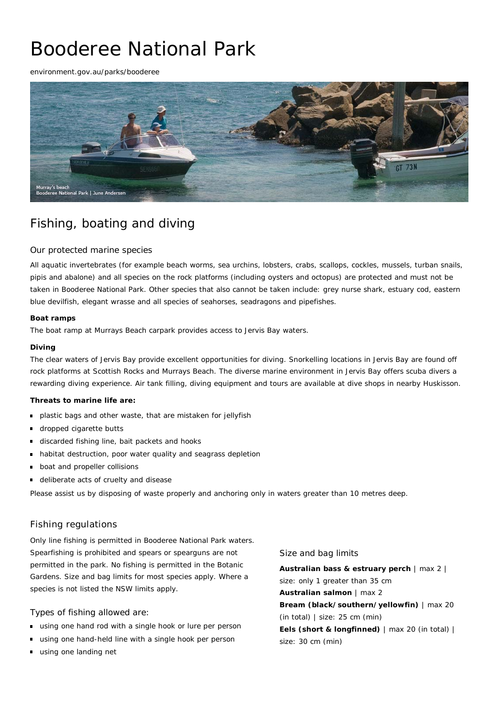# Booderee National Park

environment.gov.au/parks/booderee



## Fishing, boating and diving

## Our protected marine species

All aquatic invertebrates (for example beach worms, sea urchins, lobsters, crabs, scallops, cockles, mussels, turban snails, pipis and abalone) and all species on the rock platforms (including oysters and octopus) are protected and must not be taken in Booderee National Park. Other species that also cannot be taken include: grey nurse shark, estuary cod, eastern blue devilfish, elegant wrasse and all species of seahorses, seadragons and pipefishes.

#### **Boat ramps**

The boat ramp at Murrays Beach carpark provides access to Jervis Bay waters.

#### **Diving**

The clear waters of Jervis Bay provide excellent opportunities for diving. Snorkelling locations in Jervis Bay are found off rock platforms at Scottish Rocks and Murrays Beach. The diverse marine environment in Jervis Bay offers scuba divers a rewarding diving experience. Air tank filling, diving equipment and tours are available at dive shops in nearby Huskisson.

### **Threats to marine life are:**

- plastic bags and other waste, that are mistaken for jellyfish
- dropped cigarette butts  $\blacksquare$
- discarded fishing line, bait packets and hooks
- habitat destruction, poor water quality and seagrass depletion  $\blacksquare$
- boat and propeller collisions
- deliberate acts of cruelty and disease  $\blacksquare$

Please assist us by disposing of waste properly and anchoring only in waters greater than 10 metres deep.

## Fishing regulations

Only line fishing is permitted in Booderee National Park waters. Spearfishing is prohibited and spears or spearguns are not permitted in the park. No fishing is permitted in the Botanic Gardens. Size and bag limits for most species apply. Where a species is not listed the NSW limits apply.

### Types of fishing allowed are:

- using one hand rod with a single hook or lure per person
- using one hand-held line with a single hook per person
- using one landing net

### Size and bag limits

**Australian bass & estruary perch** | max 2 | size: only 1 greater than 35 cm **Australian salmon** | max 2 **Bream (black/southern/yellowfin)** | max 20 (in total) | size: 25 cm (min) **Eels (short & longfinned)** | max 20 (in total) | size: 30 cm (min)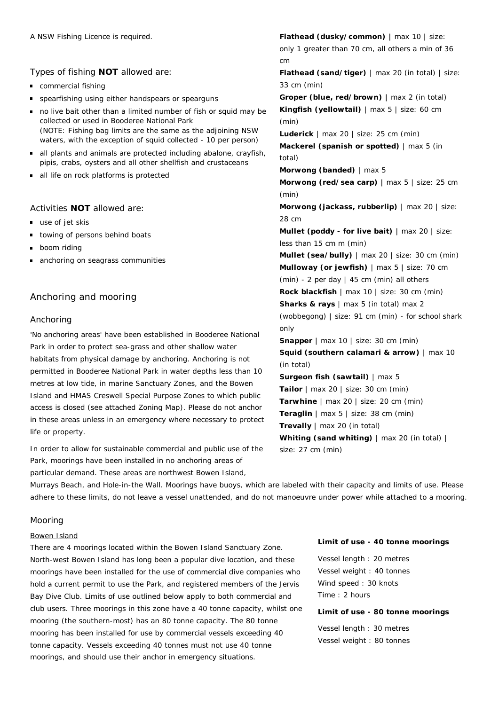Types of fishing **NOT** allowed are:

- commercial fishing
- spearfishing using either handspears or spearguns
- no live bait other than a limited number of fish or squid may be collected or used in Booderee National Park (NOTE: Fishing bag limits are the same as the adjoining NSW waters, with the exception of squid collected - 10 per person)
- all plants and animals are protected including abalone, crayfish, pipis, crabs, oysters and all other shellfish and crustaceans
- all life on rock platforms is protected

## Activities **NOT** allowed are:

- use of jet skis
- towing of persons behind boats
- **boom riding**
- anchoring on seagrass communities

## Anchoring and mooring

### Anchoring

'No anchoring areas' have been established in Booderee National Park in order to protect sea-grass and other shallow water habitats from physical damage by anchoring. Anchoring is not permitted in Booderee National Park in water depths less than 10 metres at low tide, in marine Sanctuary Zones, and the Bowen Island and HMAS Creswell Special Purpose Zones to which public access is closed (see attached Zoning Map). Please do not anchor in these areas unless in an emergency where necessary to protect life or property.

In order to allow for sustainable commercial and public use of the Park, moorings have been installed in no anchoring areas of particular demand. These areas are northwest Bowen Island,

**Flathead (dusky/common)** | max 10 | size: only 1 greater than 70 cm, all others a min of 36 cm **Flathead (sand/tiger)** | max 20 (in total) | size: 33 cm (min) **Groper (blue, red/brown)** | max 2 (in total) **Kingfish (yellowtail)** | max 5 | size: 60 cm (min) **Luderick** | max 20 | size: 25 cm (min) **Mackerel (spanish or spotted)** | max 5 (in total) **Morwong (banded)** | max 5 **Morwong (red/sea carp)** | max 5 | size: 25 cm (min) **Morwong (jackass, rubberlip)** | max 20 | size: 28 cm **Mullet (poddy - for live bait)** | max 20 | size: less than 15 cm m (min) **Mullet (sea/bully)** | max 20 | size: 30 cm (min) **Mulloway (or jewfish)** | max 5 | size: 70 cm (min) - 2 per day | 45 cm (min) all others **Rock blackfish** | max 10 | size: 30 cm (min) **Sharks & rays** | max 5 (in total) max 2 (wobbegong) | size: 91 cm (min) - for school shark only **Snapper** | max 10 | size: 30 cm (min) **Squid (southern calamari & arrow)** | max 10 (in total) **Surgeon fish (sawtail)** | max 5 **Tailor** | max 20 | size: 30 cm (min) **Tarwhine** | max 20 | size: 20 cm (min) **Teraglin** | max 5 | size: 38 cm (min) **Trevally** | max 20 (in total) **Whiting (sand whiting)** | max 20 (in total) | size: 27 cm (min)

Murrays Beach, and Hole-in-the Wall. Moorings have buoys, which are labeled with their capacity and limits of use. Please adhere to these limits, do not leave a vessel unattended, and do not manoeuvre under power while attached to a mooring.

## Mooring

#### Bowen Island

There are 4 moorings located within the Bowen Island Sanctuary Zone. North-west Bowen Island has long been a popular dive location, and these moorings have been installed for the use of commercial dive companies who hold a current permit to use the Park, and registered members of the Jervis Bay Dive Club. Limits of use outlined below apply to both commercial and club users. Three moorings in this zone have a 40 tonne capacity, whilst one mooring (the southern-most) has an 80 tonne capacity. The 80 tonne mooring has been installed for use by commercial vessels exceeding 40 tonne capacity. Vessels exceeding 40 tonnes must not use 40 tonne moorings, and should use their anchor in emergency situations.

#### **Limit of use - 40 tonne moorings**

Vessel length : 20 metres Vessel weight : 40 tonnes Wind speed : 30 knots Time : 2 hours

#### **Limit of use - 80 tonne moorings**

Vessel length : 30 metres Vessel weight : 80 tonnes